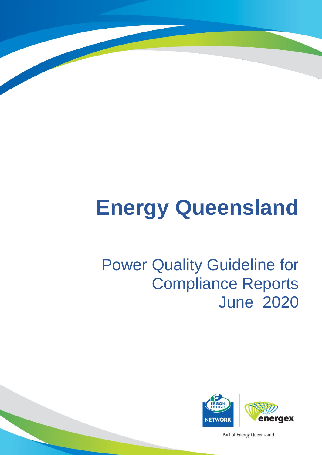# **Energy Queensland**

## Power Quality Guideline for Compliance Reports June 2020



Part of Energy Queensland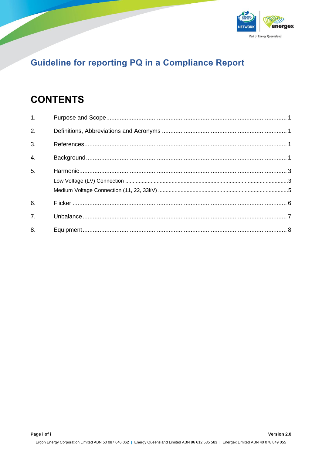

## **CONTENTS**

| 1 <sub>1</sub>   |  |
|------------------|--|
| $\overline{2}$ . |  |
| $\overline{3}$ . |  |
| $\overline{4}$ . |  |
| 5.               |  |
|                  |  |
|                  |  |
| 6.               |  |
| 7 <sub>1</sub>   |  |
| 8.               |  |

Ergon Energy Corporation Limited ABN 50 087 646 062 | Energy Queensland Limited ABN 96 612 535 583 | Energex Limited ABN 40 078 849 055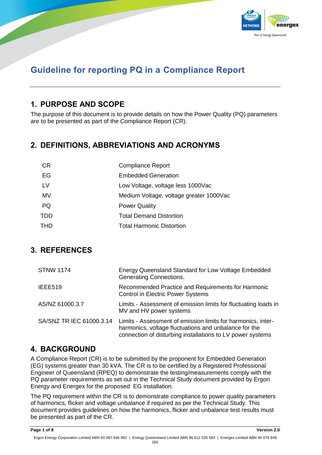

## <span id="page-2-0"></span>**1. PURPOSE AND SCOPE**

The purpose of this document is to provide details on how the Power Quality (PQ) parameters are to be presented as part of the Compliance Report (CR).

## <span id="page-2-1"></span>**2. DEFINITIONS, ABBREVIATIONS AND ACRONYMS**

| <b>CR</b> | <b>Compliance Report</b>                |
|-----------|-----------------------------------------|
| EG        | <b>Embedded Generation</b>              |
| <b>LV</b> | Low Voltage, voltage less 1000Vac       |
| MV        | Medium Voltage, voltage greater 1000Vac |
| <b>PQ</b> | <b>Power Quality</b>                    |
| TDD       | <b>Total Demand Distortion</b>          |
| THD       | <b>Total Harmonic Distortion</b>        |

## <span id="page-2-2"></span>**3. REFERENCES**

| <b>STNW 1174</b>         | Energy Queensland Standard for Low Voltage Embedded<br>Generating Connections.                                                                                                      |
|--------------------------|-------------------------------------------------------------------------------------------------------------------------------------------------------------------------------------|
| IEEE519                  | Recommended Practice and Requirements for Harmonic<br><b>Control in Electric Power Systems</b>                                                                                      |
| AS/NZ 61000.3.7          | Limits - Assessment of emission limits for fluctuating loads in<br>MV and HV power systems                                                                                          |
| SA/SNZ TR IEC 61000.3.14 | Limits - Assessment of emission limits for harmonics, inter-<br>harmonics, voltage fluctuations and unbalance for the<br>connection of disturbing installations to LV power systems |

### <span id="page-2-3"></span>**4. BACKGROUND**

A Compliance Report (CR) is to be submitted by the proponent for Embedded Generation (EG) systems greater than 30 kVA. The CR is to be certified by a Registered Professional Engineer of Queensland (RPEQ) to demonstrate the testing/measurements comply with the PQ parameter requirements as set out in the Technical Study document provided by Ergon Energy and Energex for the proposed EG installation.

The PQ requirement within the CR is to demonstrate compliance to power quality parameters of harmonics, flicker and voltage unbalance if required as per the Technical Study. This document provides guidelines on how the harmonics, flicker and unbalance test results must be presented as part of the CR.

**Page 1 of 8 Version 2.0**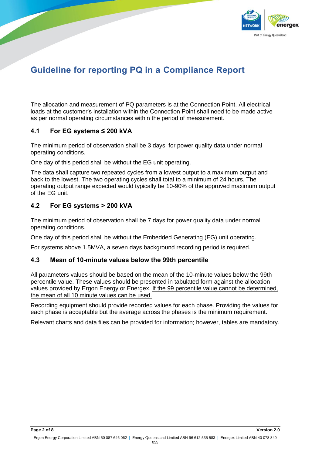

The allocation and measurement of PQ parameters is at the Connection Point. All electrical loads at the customer's installation within the Connection Point shall need to be made active as per normal operating circumstances within the period of measurement.

#### **4.1 For EG systems ≤ 200 kVA**

The minimum period of observation shall be 3 days for power quality data under normal operating conditions.

One day of this period shall be without the EG unit operating.

The data shall capture two repeated cycles from a lowest output to a maximum output and back to the lowest. The two operating cycles shall total to a minimum of 24 hours. The operating output range expected would typically be 10-90% of the approved maximum output of the EG unit.

#### **4.2 For EG systems > 200 kVA**

The minimum period of observation shall be 7 days for power quality data under normal operating conditions.

One day of this period shall be without the Embedded Generating (EG) unit operating.

For systems above 1.5MVA, a seven days background recording period is required.

#### **4.3 Mean of 10-minute values below the 99th percentile**

All parameters values should be based on the mean of the 10-minute values below the 99th percentile value. These values should be presented in tabulated form against the allocation values provided by Ergon Energy or Energex. If the 99 percentile value cannot be determined, the mean of all 10 minute values can be used.

Recording equipment should provide recorded values for each phase. Providing the values for each phase is acceptable but the average across the phases is the minimum requirement.

Relevant charts and data files can be provided for information; however, tables are mandatory.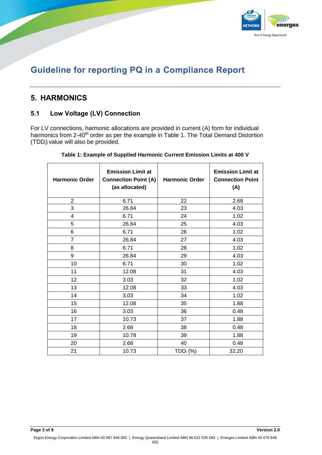

## <span id="page-4-0"></span>**5. HARMONICS**

#### <span id="page-4-1"></span>**5.1 Low Voltage (LV) Connection**

For LV connections, harmonic allocations are provided in current (A) form for individual harmonics from 2-40<sup>th</sup> order as per the example in [Table 1.](#page-4-2) The Total Demand Distortion (TDDi) value will also be provided.

<span id="page-4-2"></span>

| <b>Harmonic Order</b> | <b>Emission Limit at</b><br><b>Connection Point (A)</b><br>(as allocated) | <b>Harmonic Order</b> | <b>Emission Limit at</b><br><b>Connection Point</b><br>(A) |
|-----------------------|---------------------------------------------------------------------------|-----------------------|------------------------------------------------------------|
| $\overline{c}$        | 6.71                                                                      | 22                    | 2.68                                                       |
| 3                     | 26.84                                                                     | 23                    | 4.03                                                       |
| 4                     | 6.71                                                                      | 24                    | 1.02                                                       |
| 5                     | 26.84                                                                     | 25                    | 4.03                                                       |
| 6                     | 6.71                                                                      | 26                    | 1.02                                                       |
| $\overline{7}$        | 26.84                                                                     | 27                    | 4.03                                                       |
| 8                     | 6.71                                                                      | 28                    | 1.02                                                       |
| 9                     | 26.84                                                                     | 29                    | 4.03                                                       |
| 10                    | 6.71                                                                      | 30                    | 1.02                                                       |
| 11                    | 12.08                                                                     | 31                    | 4.03                                                       |
| 12                    | 3.03                                                                      | 32                    | 1.02                                                       |
| 13                    | 12.08                                                                     | 33                    | 4.03                                                       |
| 14                    | 3.03                                                                      | 34                    | 1.02                                                       |
| 15                    | 12.08                                                                     | 35                    | 1.88                                                       |
| 16                    | 3.03                                                                      | 36                    | 0.48                                                       |
| 17                    | 10.73                                                                     | 37                    | 1.88                                                       |
| 18                    | 2.68                                                                      | 38                    | 0.48                                                       |
| 19                    | 10.78                                                                     | 39                    | 1.88                                                       |
| 20                    | 2.68                                                                      | 40                    | 0.48                                                       |
| 21                    | 10.73                                                                     | $TDD_i$ (%)           | 32.20                                                      |

| Table 1: Example of Supplied Harmonic Current Emission Limits at 400 V |  |  |  |
|------------------------------------------------------------------------|--|--|--|
|                                                                        |  |  |  |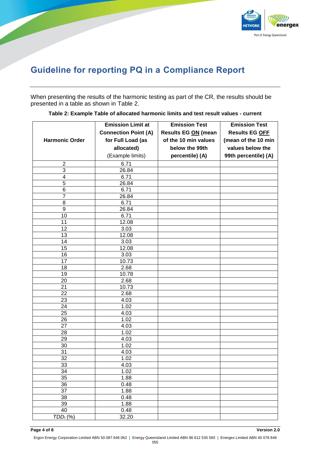

When presenting the results of the harmonic testing as part of the CR, the results should be presented in a table as shown in [Table 2.](#page-5-0)

<span id="page-5-0"></span>

|                       | <b>Emission Limit at</b>    | <b>Emission Test</b> | <b>Emission Test</b>  |
|-----------------------|-----------------------------|----------------------|-----------------------|
|                       | <b>Connection Point (A)</b> | Results EG ON (mean  | <b>Results EG OFF</b> |
| <b>Harmonic Order</b> | for Full Load (as           | of the 10 min values | (mean of the 10 min   |
|                       | allocated)                  | below the 99th       | values below the      |
|                       | (Example limits)            | percentile) (A)      | 99th percentile) (A)  |
| $\overline{c}$        | 6.71                        |                      |                       |
| 3                     | 26.84                       |                      |                       |
| 4                     | 6.71                        |                      |                       |
| 5                     | 26.84                       |                      |                       |
| 6                     | 6.71                        |                      |                       |
| 7                     | 26.84                       |                      |                       |
| 8                     | 6.71                        |                      |                       |
| 9                     | 26.84                       |                      |                       |
| 10                    | 6.71                        |                      |                       |
| 11                    | 12.08                       |                      |                       |
| 12                    | 3.03                        |                      |                       |
| 13                    | 12.08                       |                      |                       |
| 14                    | 3.03                        |                      |                       |
| 15                    | 12.08                       |                      |                       |
| 16                    | 3.03                        |                      |                       |
| 17                    | 10.73                       |                      |                       |
| 18                    | 2.68                        |                      |                       |
| 19                    | 10.78                       |                      |                       |
| 20                    | 2.68                        |                      |                       |
| 21                    | 10.73                       |                      |                       |
| 22                    | 2.68                        |                      |                       |
| 23                    | 4.03                        |                      |                       |
| 24                    | 1.02                        |                      |                       |
| 25                    | 4.03                        |                      |                       |
| 26<br>27              | 1.02<br>4.03                |                      |                       |
| 28                    | 1.02                        |                      |                       |
| 29                    | 4.03                        |                      |                       |
| 30                    | 1.02                        |                      |                       |
| $\overline{31}$       | 4.03                        |                      |                       |
| 32                    | 1.02                        |                      |                       |
| 33                    | 4.03                        |                      |                       |
| 34                    | 1.02                        |                      |                       |
| 35                    | 1.88                        |                      |                       |
| 36                    | 0.48                        |                      |                       |
| 37                    | 1.88                        |                      |                       |
| 38                    | 0.48                        |                      |                       |
| 39                    | 1.88                        |                      |                       |
| 40                    | 0.48                        |                      |                       |
| TDD <sub>1</sub> (%)  | 32.20                       |                      |                       |

**Table 2: Example Table of allocated harmonic limits and test result values - current**

**Page 4 of 8 Version 2.0**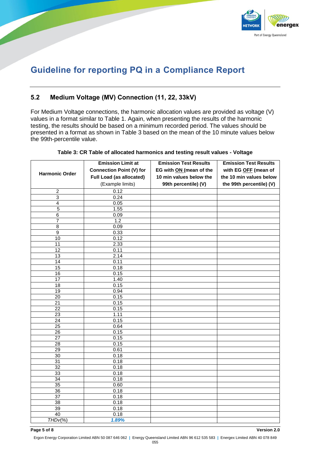

#### <span id="page-6-0"></span>**5.2 Medium Voltage (MV) Connection (11, 22, 33kV)**

For Medium Voltage connections, the harmonic allocation values are provided as voltage (V) values in a format similar to [Table 1.](#page-4-2) Again, when presenting the results of the harmonic testing, the results should be based on a minimum recorded period. The values should be presented in a format as shown in [Table 3](#page-6-1) based on the mean of the 10 minute values below the 99th-percentile value.

<span id="page-6-1"></span>

|                       | <b>Emission Limit at</b>        | <b>Emission Test Results</b> | <b>Emission Test Results</b> |
|-----------------------|---------------------------------|------------------------------|------------------------------|
|                       | <b>Connection Point (V) for</b> | EG with ON (mean of the      | with EG OFF (mean of         |
| <b>Harmonic Order</b> | Full Load (as allocated)        | 10 min values below the      | the 10 min values below      |
|                       |                                 |                              |                              |
|                       | (Example limits)                | 99th percentile) (V)         | the 99th percentile) (V)     |
| 2                     | 0.12                            |                              |                              |
| $\overline{3}$        | 0.24                            |                              |                              |
| $\overline{4}$        | 0.05                            |                              |                              |
| $\overline{5}$        | 1.55                            |                              |                              |
| 6                     | 0.09                            |                              |                              |
| 7                     | 1.2                             |                              |                              |
| 8                     | 0.09                            |                              |                              |
| $\overline{9}$        | 0.33                            |                              |                              |
| 10                    | 0.12                            |                              |                              |
| 11                    | 2.33                            |                              |                              |
| 12                    | 0.11                            |                              |                              |
| $\overline{13}$       | 2.14                            |                              |                              |
| 14                    | 0.11                            |                              |                              |
| 15                    | 0.18                            |                              |                              |
| 16                    | 0.15                            |                              |                              |
| $\overline{17}$       | 1.40                            |                              |                              |
| $\overline{18}$       | 0.15                            |                              |                              |
| $\overline{19}$       | 0.94                            |                              |                              |
| 20                    | 0.15                            |                              |                              |
| $\overline{21}$       | 0.15                            |                              |                              |
| 22                    | 0.15                            |                              |                              |
| $\overline{23}$       | 1.11                            |                              |                              |
| $\overline{24}$       | 0.15                            |                              |                              |
| $\overline{25}$       | 0.64                            |                              |                              |
| $\overline{26}$       | 0.15                            |                              |                              |
| 27                    | 0.15                            |                              |                              |
| 28                    | 0.15                            |                              |                              |
| $\overline{29}$       | 0.61                            |                              |                              |
| 30                    | 0.18                            |                              |                              |
| 31                    | 0.18                            |                              |                              |
| $\overline{32}$       | 0.18                            |                              |                              |
| 33                    | 0.18                            |                              |                              |
| 34                    | 0.18                            |                              |                              |
| 35                    | 0.60                            |                              |                              |
| 36                    | 0.18                            |                              |                              |
| $\overline{37}$       | 0.18                            |                              |                              |
| $\overline{38}$       | 0.18                            |                              |                              |
| $\overline{39}$       | 0.18                            |                              |                              |
| 40                    | 0.18                            |                              |                              |
| $THDv(\%)$            | 1.89%                           |                              |                              |

#### **Table 3: CR Table of allocated harmonics and testing result values - Voltage**

**Page 5 of 8 Version 2.0**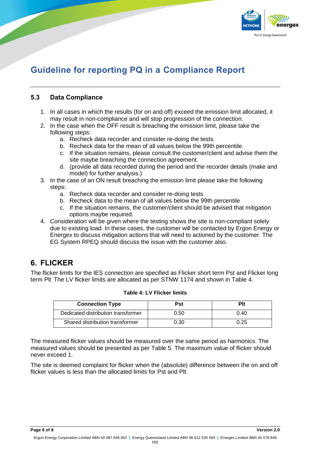

#### <span id="page-7-0"></span>**5.3 Data Compliance**

- 1. In all cases in which the results (for on and off) exceed the emission limit allocated, it may result in non-compliance and will stop progression of the connection.
- 2. In the case when the OFF result is breaching the emission limit, please take the following steps:
	- a. Recheck data recorder and consider re-doing the tests.
	- b. Recheck data for the mean of all values below the 99th percentile.
	- c. If the situation remains, please consult the customer/client and advise them the site maybe breaching the connection agreement.
	- d. (provide all data recorded during the period and the recorder details (make and model) for further analysis.)
- 3. In the case of an ON result breaching the emission limit please take the following steps:
	- a. Recheck data recorder and consider re-doing tests
	- b. Recheck data to the mean of all values below the 99th percentile
	- c. If the situation remains, the customer/client should be advised that mitigation options maybe required.
- 4. Consideration will be given where the testing shows the site is non-compliant solely due to existing load. In these cases, the customer will be contacted by Ergon Energy or Energex to discuss mitigation actions that will need to actioned by the customer. The EG System RPEQ should discuss the issue with the customer also.

## **6. FLICKER**

The flicker limits for the IES connection are specified as Flicker short term Pst and Flicker long term Plt. The LV flicker limits are allocated as per STNW 1174 and shown in Table 4.

| <b>Connection Type</b>             | Pst  | Plt  |
|------------------------------------|------|------|
| Dedicated distribution transformer | 0.50 | 0.40 |
| Shared distribution transformer    | 0.30 | 0.25 |

#### **Table 4: LV Flicker limits**

The measured flicker values should be measured over the same period as harmonics. The measured values should be presented as per [Table 5.](#page-8-1) The maximum value of flicker should never exceed 1.

The site is deemed complaint for flicker when the (absolute) difference between the on and off flicker values is less than the allocated limits for Pst and Plt.

**Page 6 of 8 Version 2.0**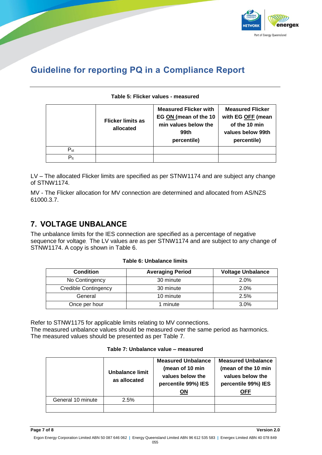

#### **Table 5: Flicker values - measured**

<span id="page-8-1"></span>

|                        | <b>Flicker limits as</b><br>allocated | <b>Measured Flicker with</b><br>EG ON (mean of the 10<br>min values below the<br>99th<br>percentile) | <b>Measured Flicker</b><br>with EG OFF (mean<br>of the 10 min<br>values below 99th<br>percentile) |
|------------------------|---------------------------------------|------------------------------------------------------------------------------------------------------|---------------------------------------------------------------------------------------------------|
| $P_{\rm st}$           |                                       |                                                                                                      |                                                                                                   |
| $\mathsf{P}_{\sf{lt}}$ |                                       |                                                                                                      |                                                                                                   |

LV – The allocated Flicker limits are specified as per STNW1174 and are subject any change of STNW1174.

MV - The Flicker allocation for MV connection are determined and allocated from AS/NZS 61000.3.7.

## <span id="page-8-0"></span>**7. VOLTAGE UNBALANCE**

The unbalance limits for the IES connection are specified as a percentage of negative sequence for voltage. The LV values are as per STNW1174 and are subject to any change of STNW1174. A copy is shown in [Table 6.](#page-8-2)

#### **Table 6: Unbalance limits**

<span id="page-8-2"></span>

| <b>Condition</b>            | <b>Averaging Period</b> | <b>Voltage Unbalance</b> |
|-----------------------------|-------------------------|--------------------------|
| No Contingency              | 30 minute               | 2.0%                     |
| <b>Credible Contingency</b> | 30 minute               | 2.0%                     |
| General                     | 10 minute               | 2.5%                     |
| Once per hour               | minute                  | $3.0\%$                  |

<span id="page-8-3"></span>Refer to STNW1175 for applicable limits relating to MV connections. The measured unbalance values should be measured over the same period as harmonics. The measured values should be presented as per [Table 7](#page-8-3).

|  | Table 7: Unbalance value - measured |  |  |
|--|-------------------------------------|--|--|
|--|-------------------------------------|--|--|

|                   | Unbalance limit<br>as allocated | <b>Measured Unbalance</b><br>(mean of 10 min<br>values below the<br>percentile 99%) IES<br><b>ON</b> | <b>Measured Unbalance</b><br>(mean of the 10 min<br>values below the<br>percentile 99%) IES<br>OFF |
|-------------------|---------------------------------|------------------------------------------------------------------------------------------------------|----------------------------------------------------------------------------------------------------|
| General 10 minute | 2.5%                            |                                                                                                      |                                                                                                    |
|                   |                                 |                                                                                                      |                                                                                                    |